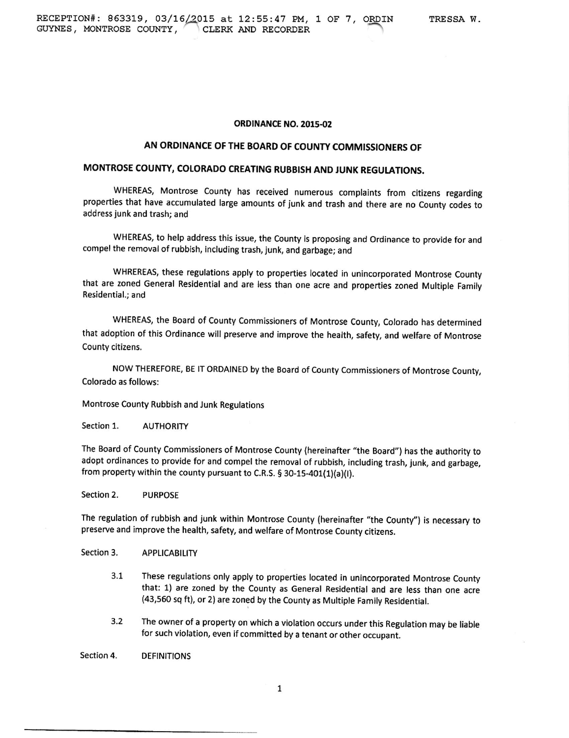## **ORDINANCE NO. 2015-02**

# AN ORDINANCE OF THE BOARD OF COUNTY COMMISSIONERS OF

# MONTROSE COUNTY, COLORADO CREATING RUBBISH AND JUNK REGULATIONS.

WHEREAS, Montrose County has received numerous complaints from citizens regarding properties that have accumulated large amounts of junk and trash and there are no County codes to address junk and trash; and

WHEREAS, to help address this issue, the county is proposing and ordinance to provide for and compel the removal of rubbish, including trash, junk, and garbage; and

WHREREAS, these regulations apply to properties located in unincorporated Montrose County that are zoned General Residential and are less than one acre and properties zoned Multiple Family Residential.; and

WHEREAS, the Board of County Commissioners of Montrose County, Colorado has determined that adoption of this ordinance will preserve and improve the health, safety, and welfare of Montrose County citizens.

Now THEREFoRE, 8E lr oRDAINED by the Board of county commissioners of Montrose county, Colorado as follows:

Montrose County Rubbish and Junk Regulations

Section 1. AUTHORITY

The Board of county commissioners of Montrose county (hereinafter "the Board") has the authority to adopt ordinances to provide for and compel the removal of rubbish, including trash, iunk, and garbage, from property within the county pursuant to C.R.S. § 30-15-401(1)(a)(I).

section 2, PURPOSE

The regulation of rubbish and junk within Montrose County (hereinafter "the County") is necessary to preserve and improve the health, safety, and welfare of Montrose County citizens.

Section 3. APPLICABILITY

- 3.1 These regulations only apply to properties tocated in unincorporated Montrose county that: 1) are zoned by the County as General Residential and are less than one acre (43,560 sq ft), or 2) are zoned by the County as Multiple Family Residential.
- 3.2 The owner of a property on which a violation occurs under this Regulation may be liable for such violation, even if committed by a tenant or other occupant.

Section 4. DEFINITIONS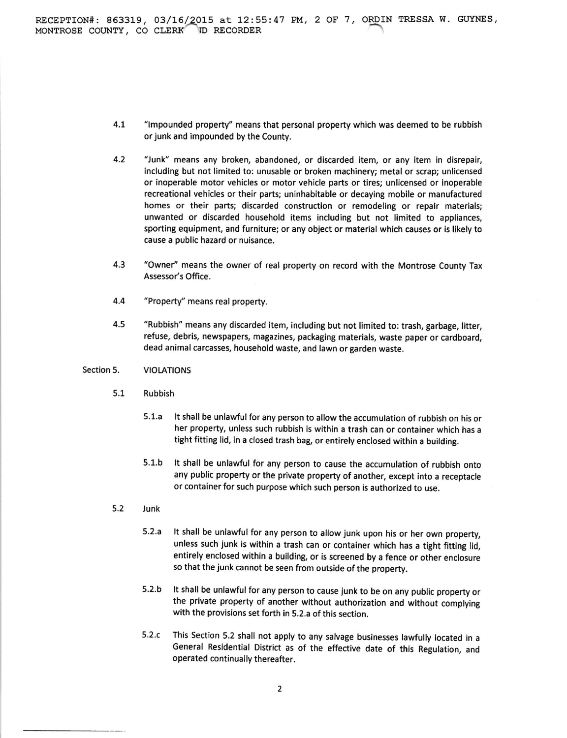- "lmpounded property''means that personal property which was deemed to be rubbish or junk and impounded by the County. 4.1
- "Junk" means any broken, abandoned, or discarded item, or any item in disrepair, including but not limited to: unusable or broken machinery; metal or scrap; unlicensed or inoperable motor vehicles or motor vehicle parts or tires; unlicensed or inoperable recreational vehicles or their parts; uninhabitable or decaying mobile or manufactured homes or their parts; discarded construction or remodeling or repair materials; unwanted or discarded household items including but not limited to appliances, sporting equipment, and furniture; or any object or material which causes or is likely to cause a public hazard or nuisance, 4.2
- $4.3$ "Owner" means the owner of real property on record with the Montrose County Tax Assessor's Office.
- $4.4$ "Property'' means real property.
- "Rubbish" means any discarded item, including but not limited to: trash, garbage, litter, refuse, debris, newspapers, magazines, packaging materials, waste paper or cardboard, dead animal carcasses, household waste, and lawn or garden waste. 4.5

#### VIOLATIONS Section 5.

- $5.1$ Rubbish
	- 5.1.a lt shall be unlawful for any person to allow the accumulation of rubbish on his or her property, unless such rubbish is within a trash can or container which has <sup>a</sup> tight fitting lid, in a closed trash bag, or entirely enclosed within a building.
	- 5.l.b lt shall be unlawful for any person to cause the accumulation of rubbish onto any public property or the private property of another, except into a receptacle or container for such purpose which such person is authorized to use.
- $5.2$ Junk
	- $5.2.a$ It shall be unlawful for any person to allow junk upon his or her own property, unless such junk is within a trash can or container which has a tight fitting lid, entirely enclosed within a building, or is screened by a fence or other enclosure so that the junk cannot be seen from outside of the property.
	- It shall be unlawful for any person to cause junk to be on any public property or the private property of another without authorization and without complying with the provisions set forth in 5.2.a of this section. 5.2.b
	- This Section 5.2 shall not apply to any salvage businesses lawfully located in <sup>a</sup> General Residential District as of the effective date of this Regulation, and operated continually thereafter.  $5.2.c$